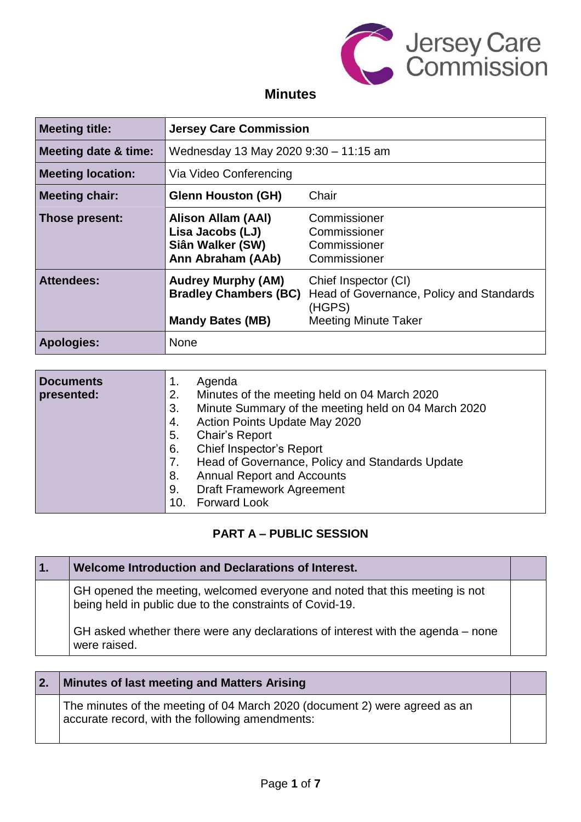

### **Minutes**

| <b>Meeting title:</b>           | <b>Jersey Care Commission</b>                                                        |                                                                                                           |
|---------------------------------|--------------------------------------------------------------------------------------|-----------------------------------------------------------------------------------------------------------|
| <b>Meeting date &amp; time:</b> | Wednesday 13 May 2020 9:30 - 11:15 am                                                |                                                                                                           |
| <b>Meeting location:</b>        | Via Video Conferencing                                                               |                                                                                                           |
| <b>Meeting chair:</b>           | <b>Glenn Houston (GH)</b>                                                            | Chair                                                                                                     |
| Those present:                  | Alison Allam (AAI)<br>Lisa Jacobs (LJ)<br>Siân Walker (SW)<br>Ann Abraham (AAb)      | Commissioner<br>Commissioner<br>Commissioner<br>Commissioner                                              |
| <b>Attendees:</b>               | <b>Audrey Murphy (AM)</b><br><b>Bradley Chambers (BC)</b><br><b>Mandy Bates (MB)</b> | Chief Inspector (CI)<br>Head of Governance, Policy and Standards<br>(HGPS)<br><b>Meeting Minute Taker</b> |
| <b>Apologies:</b>               | None                                                                                 |                                                                                                           |

| <b>Documents</b><br>presented: | Agenda<br>1.<br>Minutes of the meeting held on 04 March 2020<br>2. |
|--------------------------------|--------------------------------------------------------------------|
|                                | Minute Summary of the meeting held on 04 March 2020<br>3.          |
|                                | Action Points Update May 2020<br>4.                                |
|                                | 5.<br><b>Chair's Report</b>                                        |
|                                | Chief Inspector's Report<br>6.                                     |
|                                | Head of Governance, Policy and Standards Update<br>7.              |
|                                | <b>Annual Report and Accounts</b><br>8.                            |
|                                | <b>Draft Framework Agreement</b><br>9.                             |
|                                | <b>Forward Look</b><br>10.                                         |

#### **PART A – PUBLIC SESSION**

| Welcome Introduction and Declarations of Interest.                                                                                      |  |
|-----------------------------------------------------------------------------------------------------------------------------------------|--|
| GH opened the meeting, welcomed everyone and noted that this meeting is not<br>being held in public due to the constraints of Covid-19. |  |
| GH asked whether there were any declarations of interest with the agenda – none<br>were raised.                                         |  |

| 2. | Minutes of last meeting and Matters Arising                                                                                   |  |
|----|-------------------------------------------------------------------------------------------------------------------------------|--|
|    | The minutes of the meeting of 04 March 2020 (document 2) were agreed as an<br>accurate record, with the following amendments: |  |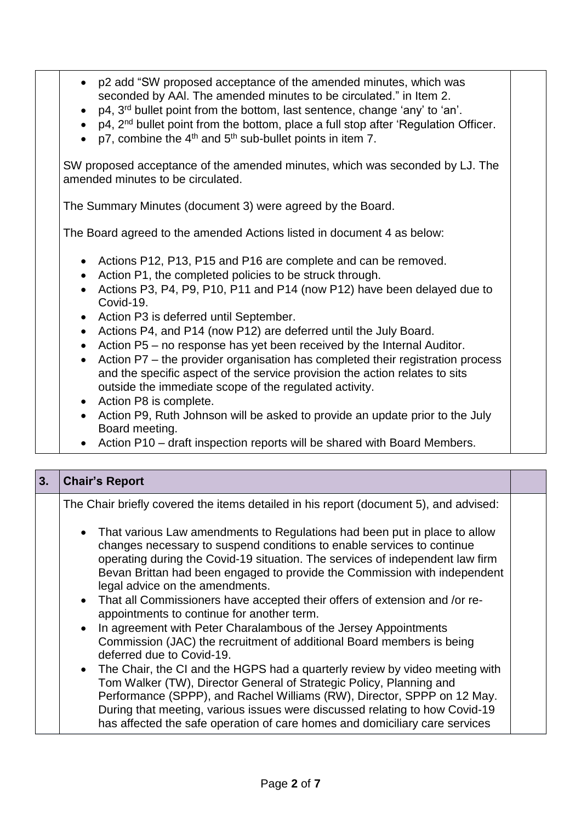- p2 add "SW proposed acceptance of the amended minutes, which was seconded by AAl. The amended minutes to be circulated." in Item 2. • p4, 3<sup>rd</sup> bullet point from the bottom, last sentence, change 'any' to 'an'. • p4, 2<sup>nd</sup> bullet point from the bottom, place a full stop after 'Regulation Officer. • p7, combine the  $4<sup>th</sup>$  and  $5<sup>th</sup>$  sub-bullet points in item 7. SW proposed acceptance of the amended minutes, which was seconded by LJ. The amended minutes to be circulated. The Summary Minutes (document 3) were agreed by the Board. The Board agreed to the amended Actions listed in document 4 as below: • Actions P12, P13, P15 and P16 are complete and can be removed. • Action P1, the completed policies to be struck through. • Actions P3, P4, P9, P10, P11 and P14 (now P12) have been delayed due to Covid-19. • Action P3 is deferred until September. • Actions P4, and P14 (now P12) are deferred until the July Board. • Action P5 – no response has yet been received by the Internal Auditor. • Action P7 – the provider organisation has completed their registration process and the specific aspect of the service provision the action relates to sits outside the immediate scope of the regulated activity. • Action P8 is complete.
	- Action P9, Ruth Johnson will be asked to provide an update prior to the July Board meeting.
	- Action P10 draft inspection reports will be shared with Board Members.

| 3. | <b>Chair's Report</b>                                                                                                                                                                                                                                                                                                                                                                                                                                                                                                                                                                                                                                                                                                                                       |  |
|----|-------------------------------------------------------------------------------------------------------------------------------------------------------------------------------------------------------------------------------------------------------------------------------------------------------------------------------------------------------------------------------------------------------------------------------------------------------------------------------------------------------------------------------------------------------------------------------------------------------------------------------------------------------------------------------------------------------------------------------------------------------------|--|
|    | The Chair briefly covered the items detailed in his report (document 5), and advised:                                                                                                                                                                                                                                                                                                                                                                                                                                                                                                                                                                                                                                                                       |  |
|    | • That various Law amendments to Regulations had been put in place to allow<br>changes necessary to suspend conditions to enable services to continue<br>operating during the Covid-19 situation. The services of independent law firm<br>Bevan Brittan had been engaged to provide the Commission with independent<br>legal advice on the amendments.<br>• That all Commissioners have accepted their offers of extension and /or re-<br>appointments to continue for another term.<br>In agreement with Peter Charalambous of the Jersey Appointments<br>$\bullet$<br>Commission (JAC) the recruitment of additional Board members is being<br>deferred due to Covid-19.<br>• The Chair, the CI and the HGPS had a quarterly review by video meeting with |  |
|    | Tom Walker (TW), Director General of Strategic Policy, Planning and<br>Performance (SPPP), and Rachel Williams (RW), Director, SPPP on 12 May.<br>During that meeting, various issues were discussed relating to how Covid-19                                                                                                                                                                                                                                                                                                                                                                                                                                                                                                                               |  |
|    | has affected the safe operation of care homes and domiciliary care services                                                                                                                                                                                                                                                                                                                                                                                                                                                                                                                                                                                                                                                                                 |  |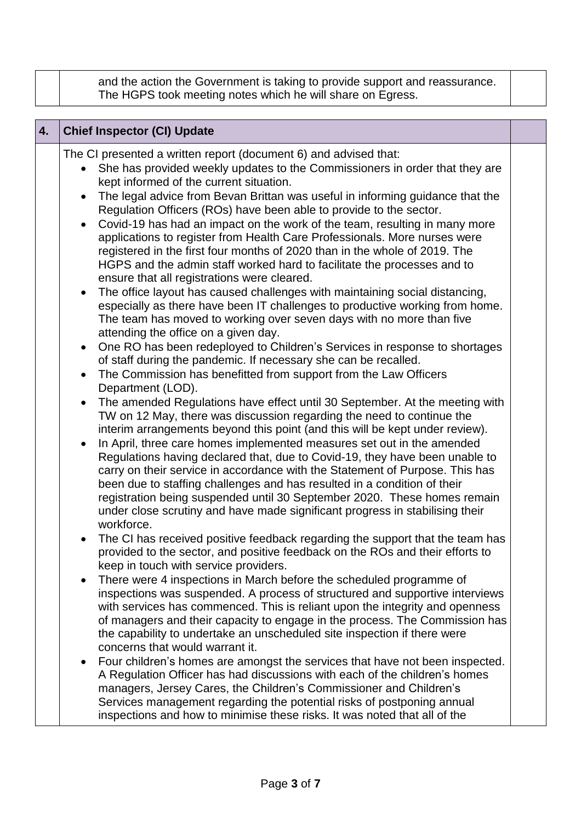and the action the Government is taking to provide support and reassurance. The HGPS took meeting notes which he will share on Egress.

| <b>Chief Inspector (CI) Update</b><br>4. |
|------------------------------------------|
|                                          |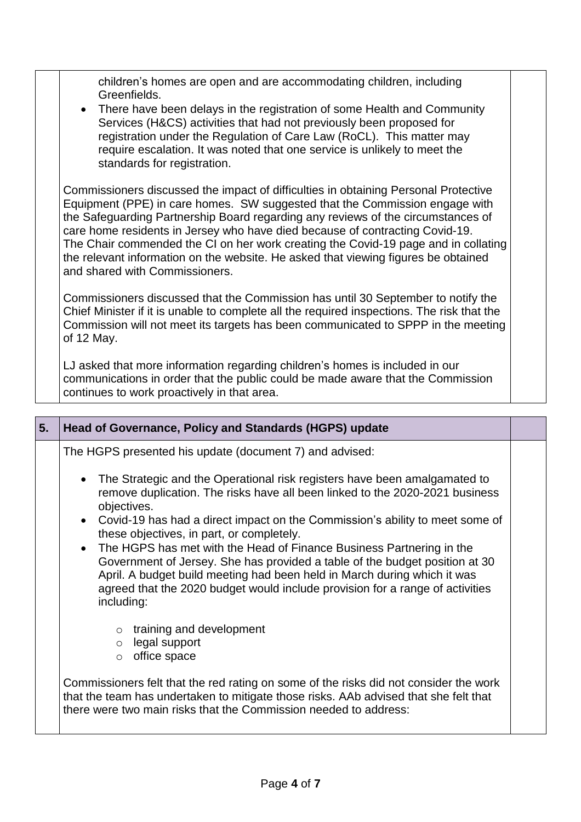children's homes are open and are accommodating children, including Greenfields. • There have been delays in the registration of some Health and Community Services (H&CS) activities that had not previously been proposed for registration under the Regulation of Care Law (RoCL). This matter may require escalation. It was noted that one service is unlikely to meet the standards for registration. Commissioners discussed the impact of difficulties in obtaining Personal Protective Equipment (PPE) in care homes. SW suggested that the Commission engage with the Safeguarding Partnership Board regarding any reviews of the circumstances of

care home residents in Jersey who have died because of contracting Covid-19. The Chair commended the CI on her work creating the Covid-19 page and in collating the relevant information on the website. He asked that viewing figures be obtained and shared with Commissioners.

Commissioners discussed that the Commission has until 30 September to notify the Chief Minister if it is unable to complete all the required inspections. The risk that the Commission will not meet its targets has been communicated to SPPP in the meeting of 12 May.

LJ asked that more information regarding children's homes is included in our communications in order that the public could be made aware that the Commission continues to work proactively in that area.

| 5.                                                                                                                                                                         | <b>Head of Governance, Policy and Standards (HGPS) update</b>                                                                                                                                                                                                                                                                    |  |
|----------------------------------------------------------------------------------------------------------------------------------------------------------------------------|----------------------------------------------------------------------------------------------------------------------------------------------------------------------------------------------------------------------------------------------------------------------------------------------------------------------------------|--|
|                                                                                                                                                                            | The HGPS presented his update (document 7) and advised:                                                                                                                                                                                                                                                                          |  |
| • The Strategic and the Operational risk registers have been amalgamated to<br>remove duplication. The risks have all been linked to the 2020-2021 business<br>objectives. |                                                                                                                                                                                                                                                                                                                                  |  |
|                                                                                                                                                                            | • Covid-19 has had a direct impact on the Commission's ability to meet some of<br>these objectives, in part, or completely.                                                                                                                                                                                                      |  |
|                                                                                                                                                                            | • The HGPS has met with the Head of Finance Business Partnering in the<br>Government of Jersey. She has provided a table of the budget position at 30<br>April. A budget build meeting had been held in March during which it was<br>agreed that the 2020 budget would include provision for a range of activities<br>including: |  |
|                                                                                                                                                                            | training and development<br>$\circ$                                                                                                                                                                                                                                                                                              |  |
|                                                                                                                                                                            | $\circ$ legal support                                                                                                                                                                                                                                                                                                            |  |
|                                                                                                                                                                            | office space<br>$\circ$                                                                                                                                                                                                                                                                                                          |  |
|                                                                                                                                                                            | Commissioners felt that the red rating on some of the risks did not consider the work<br>that the team has undertaken to mitigate those risks. AAb advised that she felt that<br>there were two main risks that the Commission needed to address:                                                                                |  |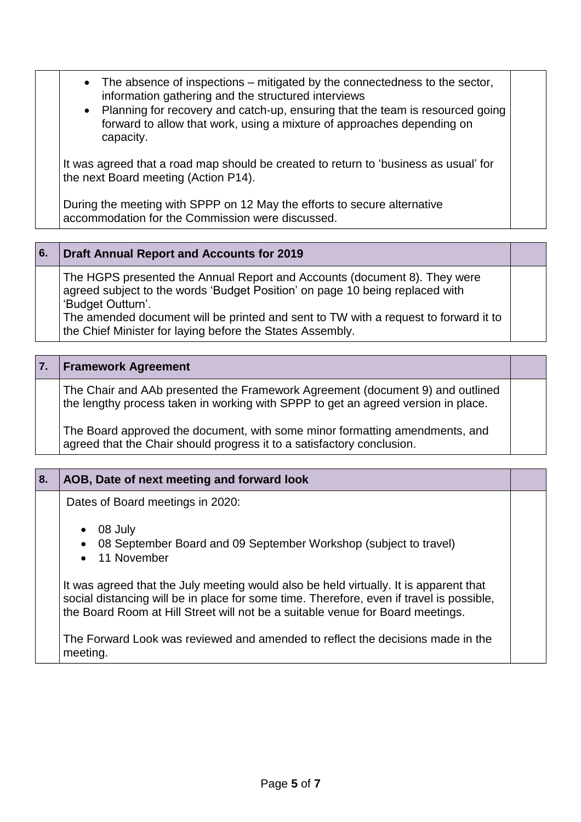- The absence of inspections mitigated by the connectedness to the sector, information gathering and the structured interviews
- Planning for recovery and catch-up, ensuring that the team is resourced going forward to allow that work, using a mixture of approaches depending on capacity.

It was agreed that a road map should be created to return to 'business as usual' for the next Board meeting (Action P14).

During the meeting with SPPP on 12 May the efforts to secure alternative accommodation for the Commission were discussed.

#### **6. Draft Annual Report and Accounts for 2019**

The HGPS presented the Annual Report and Accounts (document 8). They were agreed subject to the words 'Budget Position' on page 10 being replaced with 'Budget Outturn'.

The amended document will be printed and sent to TW with a request to forward it to the Chief Minister for laying before the States Assembly.

#### **7. Framework Agreement**

The Chair and AAb presented the Framework Agreement (document 9) and outlined the lengthy process taken in working with SPPP to get an agreed version in place.

The Board approved the document, with some minor formatting amendments, and agreed that the Chair should progress it to a satisfactory conclusion.

# **8. AOB, Date of next meeting and forward look**

Dates of Board meetings in 2020:

- 08 July
- 08 September Board and 09 September Workshop (subject to travel)
- 11 November

It was agreed that the July meeting would also be held virtually. It is apparent that social distancing will be in place for some time. Therefore, even if travel is possible, the Board Room at Hill Street will not be a suitable venue for Board meetings.

The Forward Look was reviewed and amended to reflect the decisions made in the meeting.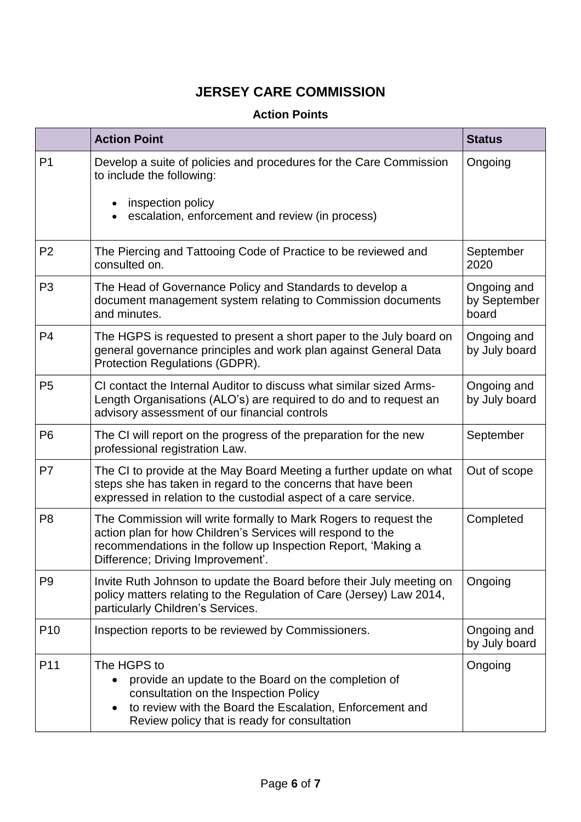## **JERSEY CARE COMMISSION**

### **Action Points**

|                 | <b>Action Point</b>                                                                                                                                                                                                                   | <b>Status</b>                        |
|-----------------|---------------------------------------------------------------------------------------------------------------------------------------------------------------------------------------------------------------------------------------|--------------------------------------|
| P <sub>1</sub>  | Develop a suite of policies and procedures for the Care Commission<br>to include the following:<br>inspection policy<br>escalation, enforcement and review (in process)                                                               | Ongoing                              |
| P <sub>2</sub>  | The Piercing and Tattooing Code of Practice to be reviewed and<br>consulted on.                                                                                                                                                       | September<br>2020                    |
| P <sub>3</sub>  | The Head of Governance Policy and Standards to develop a<br>document management system relating to Commission documents<br>and minutes.                                                                                               | Ongoing and<br>by September<br>board |
| P <sub>4</sub>  | The HGPS is requested to present a short paper to the July board on<br>general governance principles and work plan against General Data<br>Protection Regulations (GDPR).                                                             | Ongoing and<br>by July board         |
| P <sub>5</sub>  | CI contact the Internal Auditor to discuss what similar sized Arms-<br>Length Organisations (ALO's) are required to do and to request an<br>advisory assessment of our financial controls                                             | Ongoing and<br>by July board         |
| P <sub>6</sub>  | The CI will report on the progress of the preparation for the new<br>professional registration Law.                                                                                                                                   | September                            |
| P7              | The CI to provide at the May Board Meeting a further update on what<br>steps she has taken in regard to the concerns that have been<br>expressed in relation to the custodial aspect of a care service.                               | Out of scope                         |
| P <sub>8</sub>  | The Commission will write formally to Mark Rogers to request the<br>action plan for how Children's Services will respond to the<br>recommendations in the follow up Inspection Report, 'Making a<br>Difference; Driving Improvement'. | Completed                            |
| P <sub>9</sub>  | Invite Ruth Johnson to update the Board before their July meeting on<br>policy matters relating to the Regulation of Care (Jersey) Law 2014,<br>particularly Children's Services.                                                     | Ongoing                              |
| P <sub>10</sub> | Inspection reports to be reviewed by Commissioners.                                                                                                                                                                                   | Ongoing and<br>by July board         |
| P11             | The HGPS to<br>provide an update to the Board on the completion of<br>consultation on the Inspection Policy<br>to review with the Board the Escalation, Enforcement and<br>Review policy that is ready for consultation               | Ongoing                              |